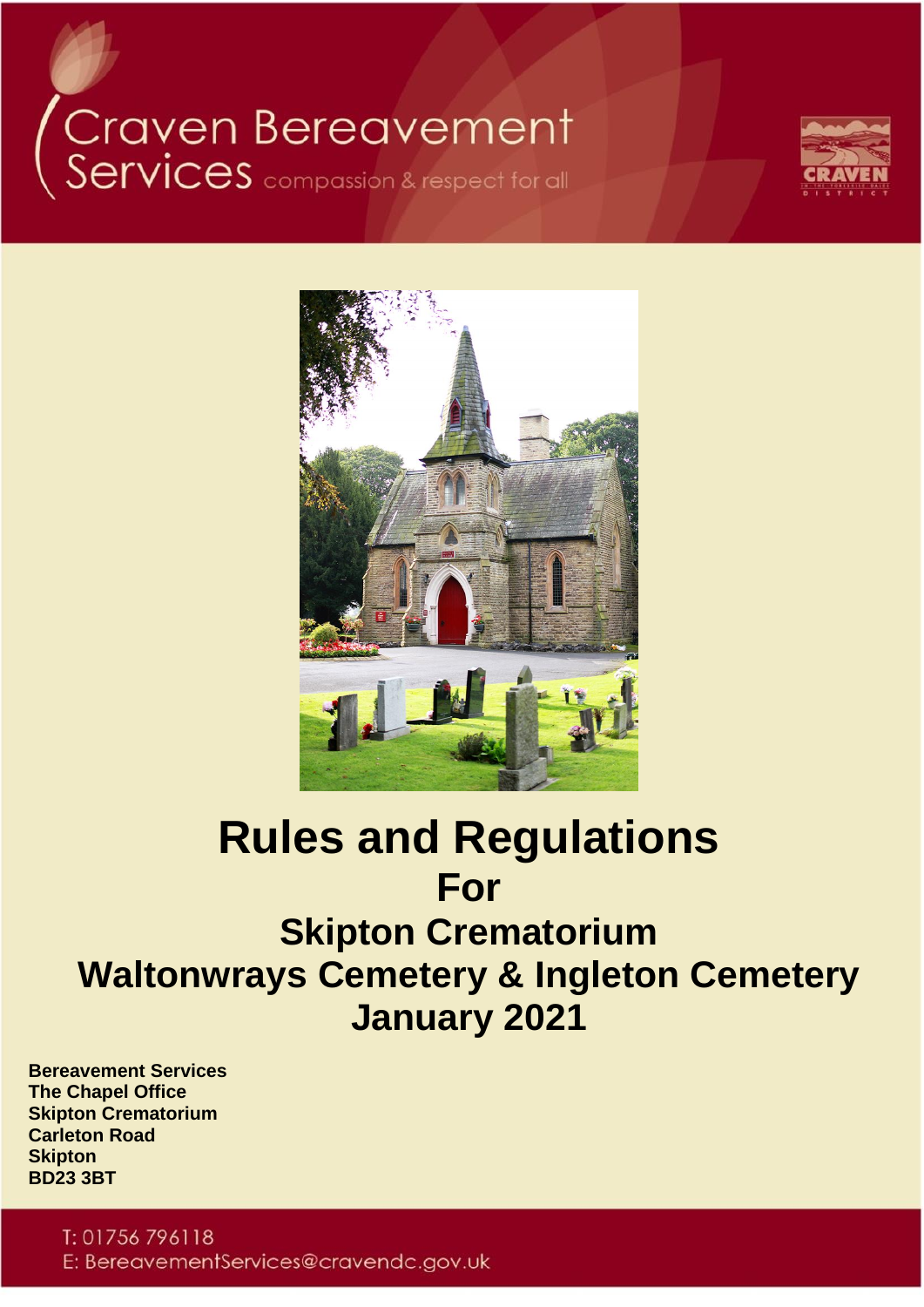# Craven Bereavement<br>Services <sub>compassion & respect for all</sub>





# **Rules and Regulations For Skipton Crematorium Waltonwrays Cemetery & Ingleton Cemetery January 2021**

**Bereavement Services The Chapel Office Skipton Crematorium Carleton Road Skipton BD23 3BT**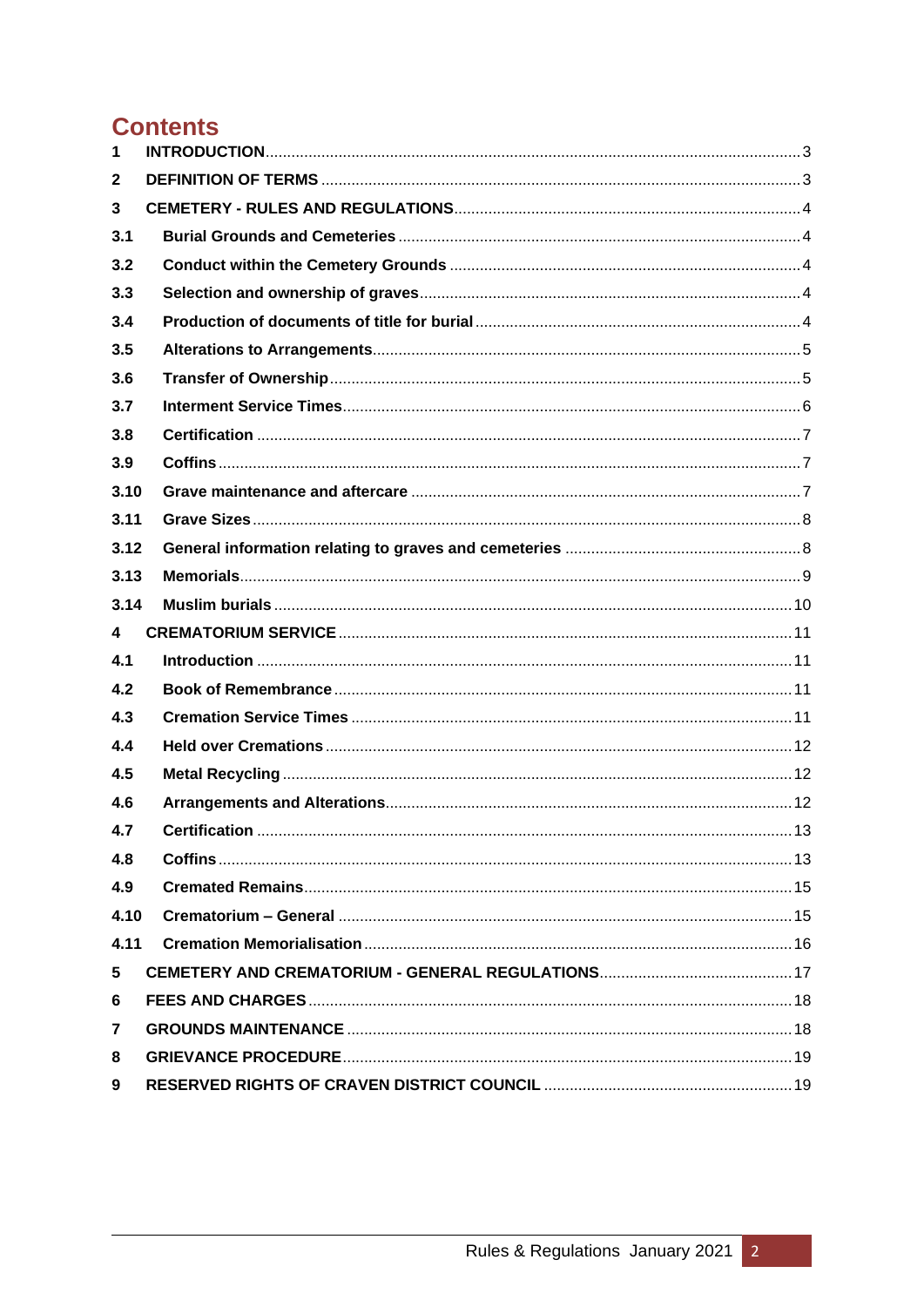# **Contents**

| 1    |  |
|------|--|
| 2    |  |
| 3    |  |
| 3.1  |  |
| 3.2  |  |
| 3.3  |  |
| 3.4  |  |
| 3.5  |  |
| 3.6  |  |
| 3.7  |  |
| 3.8  |  |
| 3.9  |  |
| 3.10 |  |
| 3.11 |  |
| 3.12 |  |
| 3.13 |  |
| 3.14 |  |
| 4    |  |
| 4.1  |  |
| 4.2  |  |
| 4.3  |  |
| 4.4  |  |
| 4.5  |  |
| 4.6  |  |
| 4.7  |  |
| 4.8  |  |
| 4.9  |  |
| 4.10 |  |
| 4.11 |  |
| 5    |  |
| 6    |  |
| 7    |  |
| 8    |  |
| 9    |  |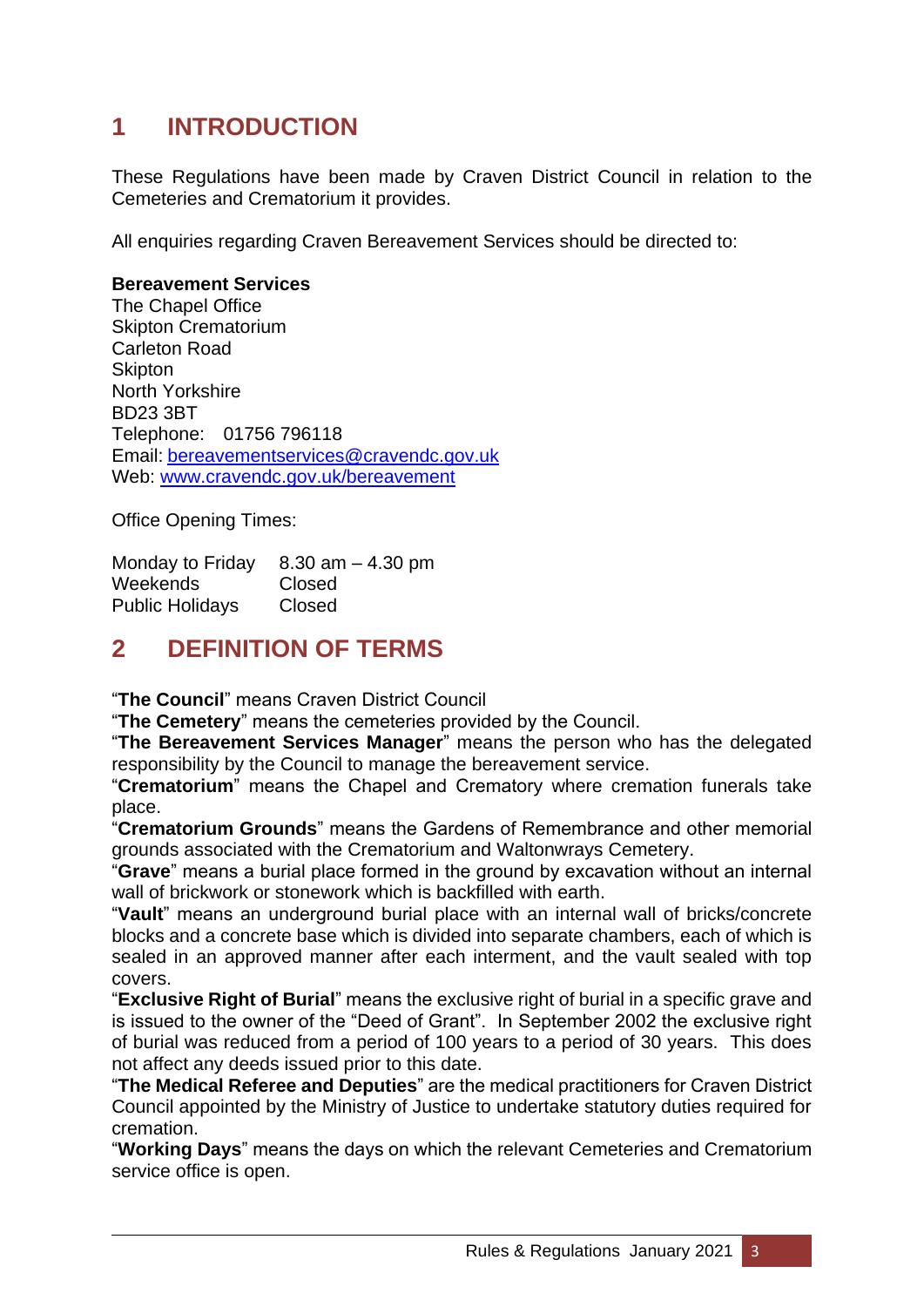## <span id="page-2-0"></span>**1 INTRODUCTION**

These Regulations have been made by Craven District Council in relation to the Cemeteries and Crematorium it provides.

All enquiries regarding Craven Bereavement Services should be directed to:

#### **Bereavement Services**

The Chapel Office Skipton Crematorium Carleton Road **Skinton** North Yorkshire BD23 3BT Telephone: 01756 796118 Email: [bereavementservices@cravendc.gov.uk](mailto:bereavementservices@cravendc.gov.uk) Web: [www.cravendc.gov.uk/bereavement](http://www.cravendc.gov.uk/bereavement)

Office Opening Times:

Monday to Friday  $8.30$  am  $-4.30$  pm Weekends Closed Public Holidays Closed

#### <span id="page-2-1"></span>**2 DEFINITION OF TERMS**

"**The Council**" means Craven District Council

"**The Cemetery**" means the cemeteries provided by the Council.

"**The Bereavement Services Manager**" means the person who has the delegated responsibility by the Council to manage the bereavement service.

"**Crematorium**" means the Chapel and Crematory where cremation funerals take place.

"**Crematorium Grounds**" means the Gardens of Remembrance and other memorial grounds associated with the Crematorium and Waltonwrays Cemetery.

"**Grave**" means a burial place formed in the ground by excavation without an internal wall of brickwork or stonework which is backfilled with earth.

"**Vault**" means an underground burial place with an internal wall of bricks/concrete blocks and a concrete base which is divided into separate chambers, each of which is sealed in an approved manner after each interment, and the vault sealed with top covers.

"**Exclusive Right of Burial**" means the exclusive right of burial in a specific grave and is issued to the owner of the "Deed of Grant". In September 2002 the exclusive right of burial was reduced from a period of 100 years to a period of 30 years. This does not affect any deeds issued prior to this date.

"**The Medical Referee and Deputies**" are the medical practitioners for Craven District Council appointed by the Ministry of Justice to undertake statutory duties required for cremation.

"**Working Days**" means the days on which the relevant Cemeteries and Crematorium service office is open.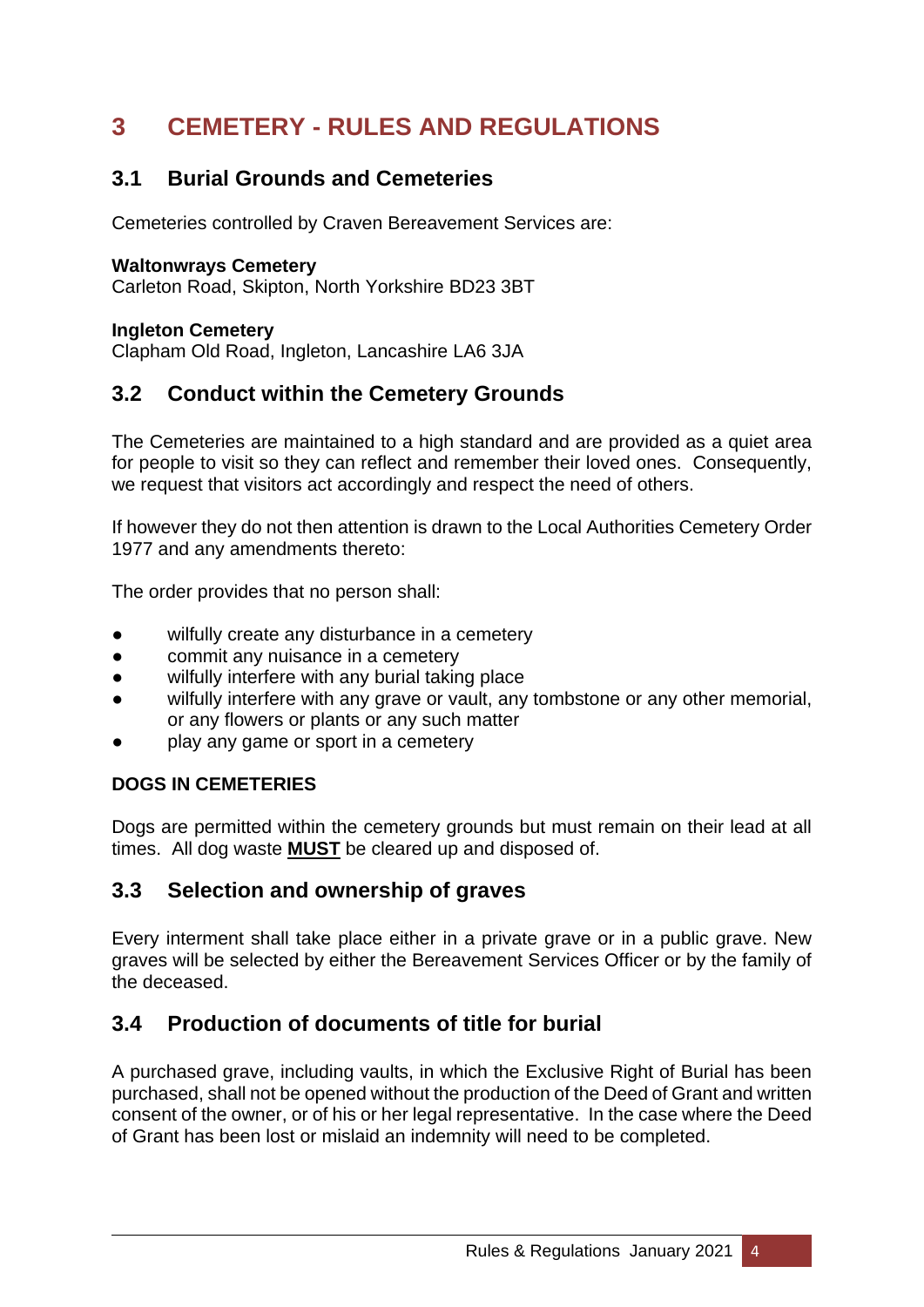# <span id="page-3-0"></span>**3 CEMETERY - RULES AND REGULATIONS**

#### <span id="page-3-1"></span>**3.1 Burial Grounds and Cemeteries**

Cemeteries controlled by Craven Bereavement Services are:

#### **Waltonwrays Cemetery**

Carleton Road, Skipton, North Yorkshire BD23 3BT

#### **Ingleton Cemetery**

Clapham Old Road, Ingleton, Lancashire LA6 3JA

#### <span id="page-3-2"></span>**3.2 Conduct within the Cemetery Grounds**

The Cemeteries are maintained to a high standard and are provided as a quiet area for people to visit so they can reflect and remember their loved ones. Consequently, we request that visitors act accordingly and respect the need of others.

If however they do not then attention is drawn to the Local Authorities Cemetery Order 1977 and any amendments thereto:

The order provides that no person shall:

- wilfully create any disturbance in a cemetery
- commit any nuisance in a cemetery
- wilfully interfere with any burial taking place
- wilfully interfere with any grave or vault, any tombstone or any other memorial, or any flowers or plants or any such matter
- play any game or sport in a cemetery

#### **DOGS IN CEMETERIES**

Dogs are permitted within the cemetery grounds but must remain on their lead at all times. All dog waste **MUST** be cleared up and disposed of.

#### <span id="page-3-3"></span>**3.3 Selection and ownership of graves**

Every interment shall take place either in a private grave or in a public grave. New graves will be selected by either the Bereavement Services Officer or by the family of the deceased.

#### <span id="page-3-4"></span>**3.4 Production of documents of title for burial**

A purchased grave, including vaults, in which the Exclusive Right of Burial has been purchased, shall not be opened without the production of the Deed of Grant and written consent of the owner, or of his or her legal representative. In the case where the Deed of Grant has been lost or mislaid an indemnity will need to be completed.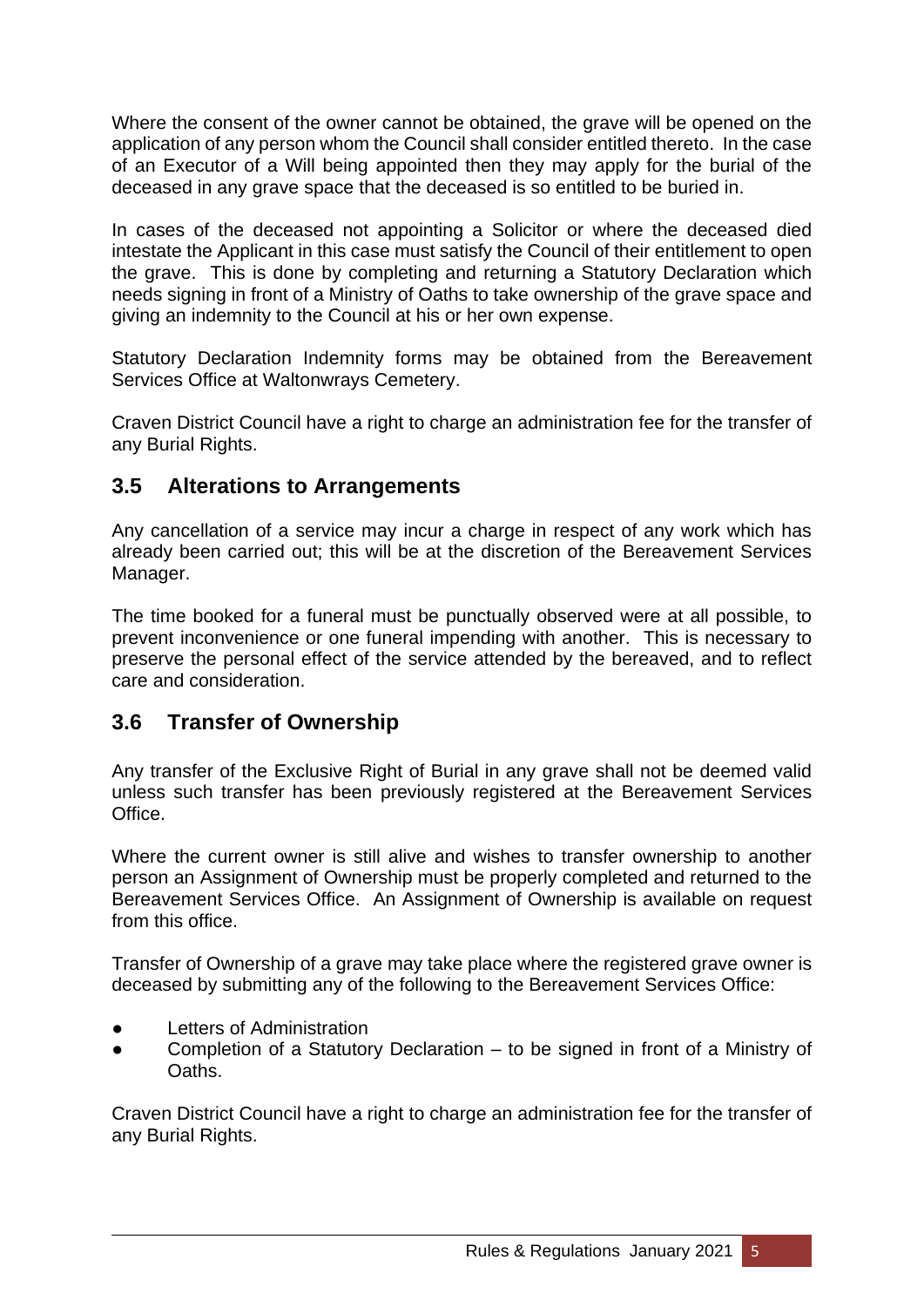Where the consent of the owner cannot be obtained, the grave will be opened on the application of any person whom the Council shall consider entitled thereto. In the case of an Executor of a Will being appointed then they may apply for the burial of the deceased in any grave space that the deceased is so entitled to be buried in.

In cases of the deceased not appointing a Solicitor or where the deceased died intestate the Applicant in this case must satisfy the Council of their entitlement to open the grave. This is done by completing and returning a Statutory Declaration which needs signing in front of a Ministry of Oaths to take ownership of the grave space and giving an indemnity to the Council at his or her own expense.

Statutory Declaration Indemnity forms may be obtained from the Bereavement Services Office at Waltonwrays Cemetery.

Craven District Council have a right to charge an administration fee for the transfer of any Burial Rights.

#### <span id="page-4-0"></span>**3.5 Alterations to Arrangements**

Any cancellation of a service may incur a charge in respect of any work which has already been carried out; this will be at the discretion of the Bereavement Services Manager.

The time booked for a funeral must be punctually observed were at all possible, to prevent inconvenience or one funeral impending with another. This is necessary to preserve the personal effect of the service attended by the bereaved, and to reflect care and consideration.

#### <span id="page-4-1"></span>**3.6 Transfer of Ownership**

Any transfer of the Exclusive Right of Burial in any grave shall not be deemed valid unless such transfer has been previously registered at the Bereavement Services **Office** 

Where the current owner is still alive and wishes to transfer ownership to another person an Assignment of Ownership must be properly completed and returned to the Bereavement Services Office. An Assignment of Ownership is available on request from this office.

Transfer of Ownership of a grave may take place where the registered grave owner is deceased by submitting any of the following to the Bereavement Services Office:

- **Letters of Administration**
- Completion of a Statutory Declaration to be signed in front of a Ministry of Oaths.

Craven District Council have a right to charge an administration fee for the transfer of any Burial Rights.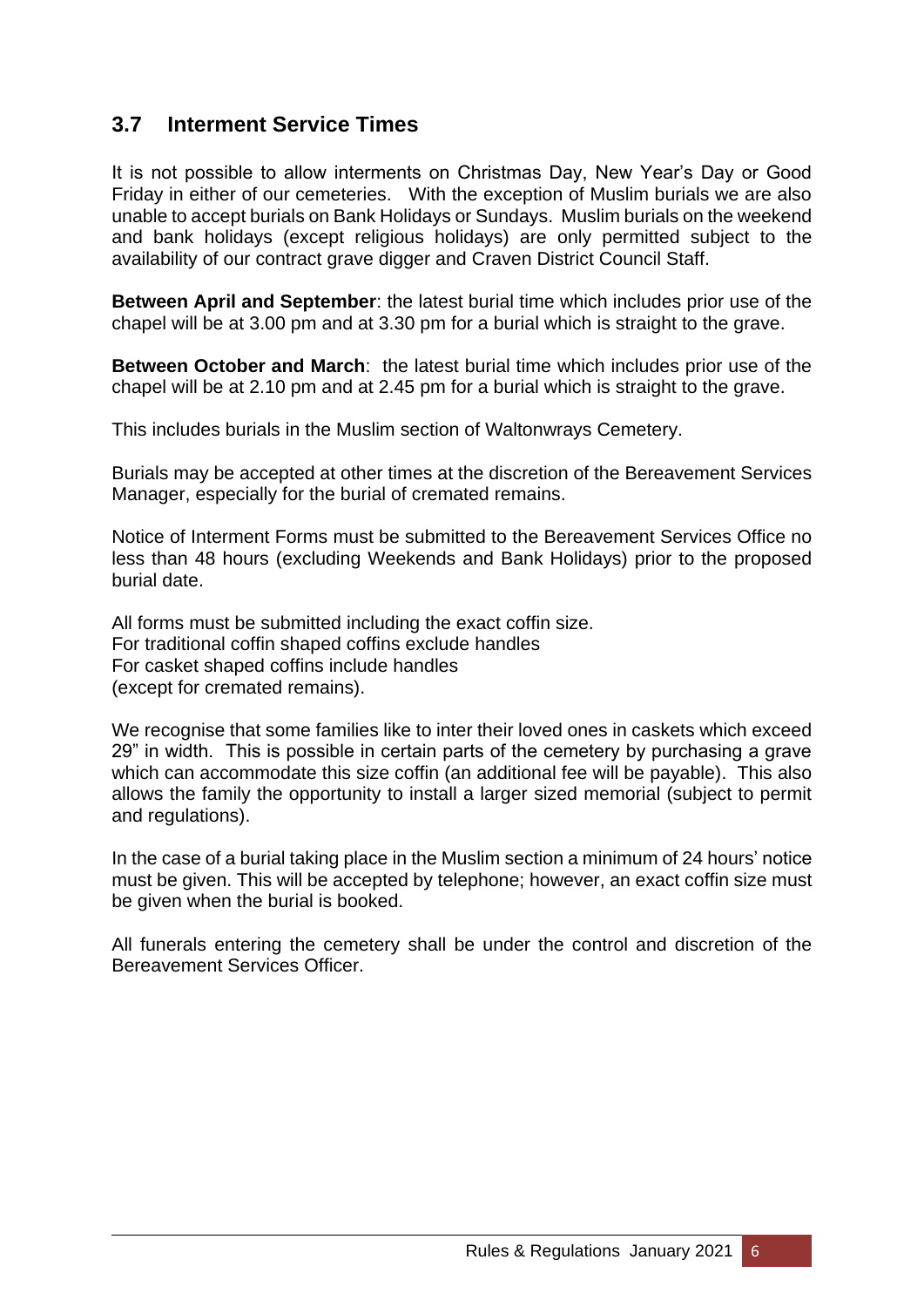#### <span id="page-5-0"></span>**3.7 Interment Service Times**

It is not possible to allow interments on Christmas Day, New Year's Day or Good Friday in either of our cemeteries. With the exception of Muslim burials we are also unable to accept burials on Bank Holidays or Sundays. Muslim burials on the weekend and bank holidays (except religious holidays) are only permitted subject to the availability of our contract grave digger and Craven District Council Staff.

**Between April and September**: the latest burial time which includes prior use of the chapel will be at 3.00 pm and at 3.30 pm for a burial which is straight to the grave.

**Between October and March**: the latest burial time which includes prior use of the chapel will be at 2.10 pm and at 2.45 pm for a burial which is straight to the grave.

This includes burials in the Muslim section of Waltonwrays Cemetery.

Burials may be accepted at other times at the discretion of the Bereavement Services Manager, especially for the burial of cremated remains.

Notice of Interment Forms must be submitted to the Bereavement Services Office no less than 48 hours (excluding Weekends and Bank Holidays) prior to the proposed burial date.

All forms must be submitted including the exact coffin size. For traditional coffin shaped coffins exclude handles For casket shaped coffins include handles (except for cremated remains).

We recognise that some families like to inter their loved ones in caskets which exceed 29" in width. This is possible in certain parts of the cemetery by purchasing a grave which can accommodate this size coffin (an additional fee will be payable). This also allows the family the opportunity to install a larger sized memorial (subject to permit and regulations).

In the case of a burial taking place in the Muslim section a minimum of 24 hours' notice must be given. This will be accepted by telephone; however, an exact coffin size must be given when the burial is booked.

All funerals entering the cemetery shall be under the control and discretion of the Bereavement Services Officer.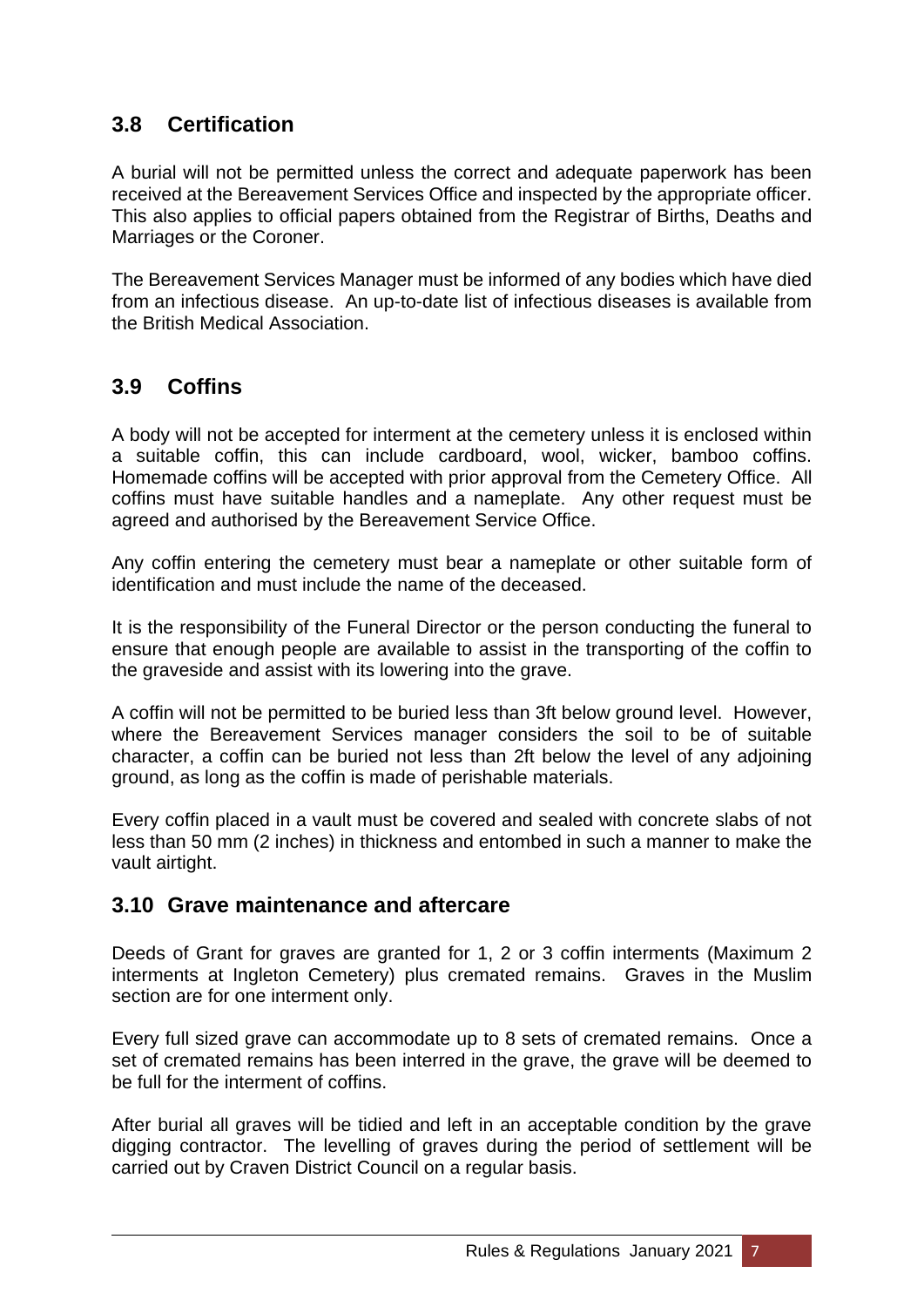#### <span id="page-6-0"></span>**3.8 Certification**

A burial will not be permitted unless the correct and adequate paperwork has been received at the Bereavement Services Office and inspected by the appropriate officer. This also applies to official papers obtained from the Registrar of Births, Deaths and Marriages or the Coroner.

The Bereavement Services Manager must be informed of any bodies which have died from an infectious disease. An up-to-date list of infectious diseases is available from the British Medical Association.

#### <span id="page-6-1"></span>**3.9 Coffins**

A body will not be accepted for interment at the cemetery unless it is enclosed within a suitable coffin, this can include cardboard, wool, wicker, bamboo coffins. Homemade coffins will be accepted with prior approval from the Cemetery Office. All coffins must have suitable handles and a nameplate. Any other request must be agreed and authorised by the Bereavement Service Office.

Any coffin entering the cemetery must bear a nameplate or other suitable form of identification and must include the name of the deceased.

It is the responsibility of the Funeral Director or the person conducting the funeral to ensure that enough people are available to assist in the transporting of the coffin to the graveside and assist with its lowering into the grave.

A coffin will not be permitted to be buried less than 3ft below ground level. However, where the Bereavement Services manager considers the soil to be of suitable character, a coffin can be buried not less than 2ft below the level of any adjoining ground, as long as the coffin is made of perishable materials.

Every coffin placed in a vault must be covered and sealed with concrete slabs of not less than 50 mm (2 inches) in thickness and entombed in such a manner to make the vault airtight.

#### <span id="page-6-2"></span>**3.10 Grave maintenance and aftercare**

Deeds of Grant for graves are granted for 1, 2 or 3 coffin interments (Maximum 2 interments at Ingleton Cemetery) plus cremated remains. Graves in the Muslim section are for one interment only.

Every full sized grave can accommodate up to 8 sets of cremated remains. Once a set of cremated remains has been interred in the grave, the grave will be deemed to be full for the interment of coffins.

After burial all graves will be tidied and left in an acceptable condition by the grave digging contractor. The levelling of graves during the period of settlement will be carried out by Craven District Council on a regular basis.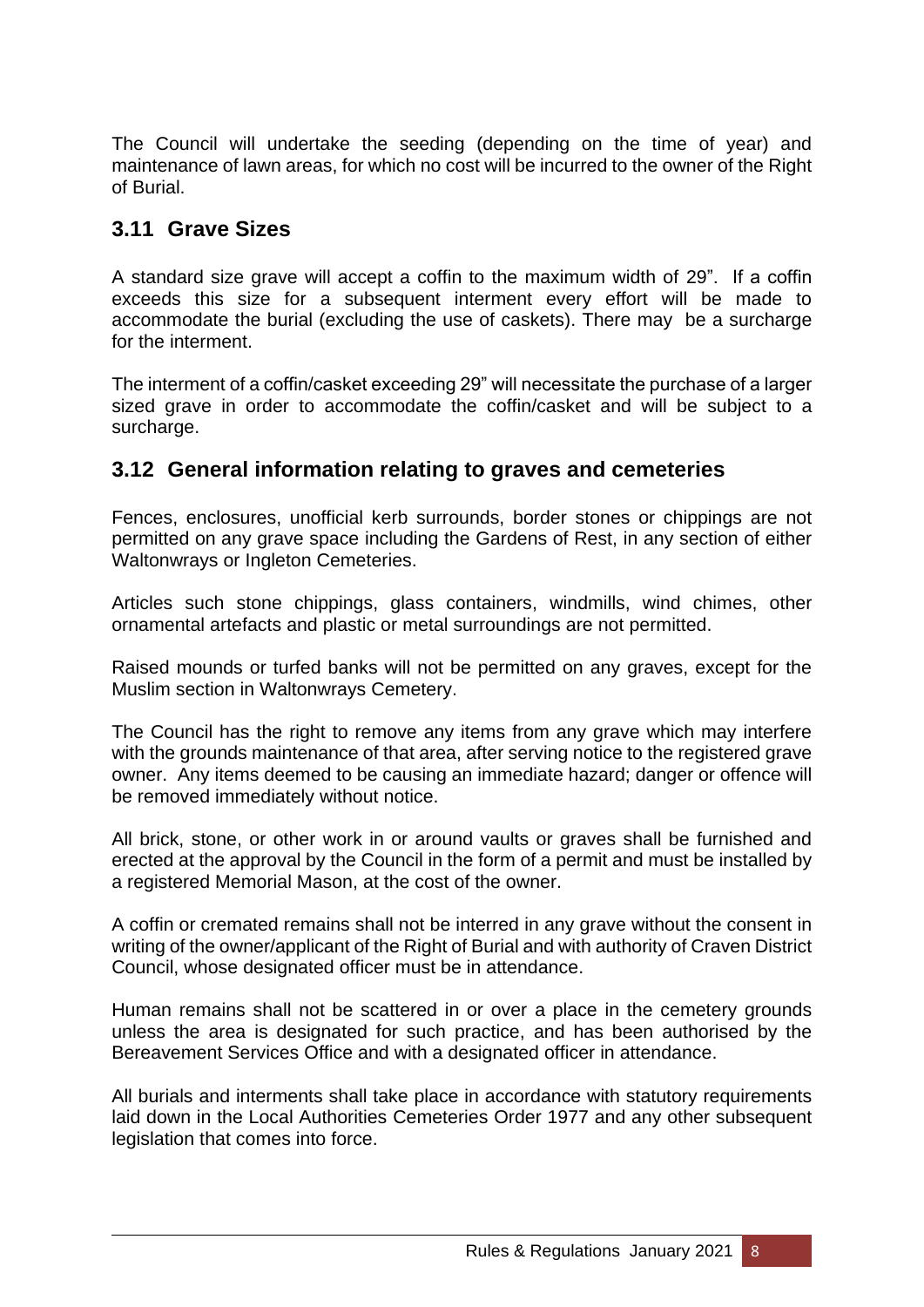The Council will undertake the seeding (depending on the time of year) and maintenance of lawn areas, for which no cost will be incurred to the owner of the Right of Burial.

#### <span id="page-7-0"></span>**3.11 Grave Sizes**

A standard size grave will accept a coffin to the maximum width of 29". If a coffin exceeds this size for a subsequent interment every effort will be made to accommodate the burial (excluding the use of caskets). There may be a surcharge for the interment.

The interment of a coffin/casket exceeding 29" will necessitate the purchase of a larger sized grave in order to accommodate the coffin/casket and will be subject to a surcharge.

#### <span id="page-7-1"></span>**3.12 General information relating to graves and cemeteries**

Fences, enclosures, unofficial kerb surrounds, border stones or chippings are not permitted on any grave space including the Gardens of Rest, in any section of either Waltonwrays or Ingleton Cemeteries.

Articles such stone chippings, glass containers, windmills, wind chimes, other ornamental artefacts and plastic or metal surroundings are not permitted.

Raised mounds or turfed banks will not be permitted on any graves, except for the Muslim section in Waltonwrays Cemetery.

The Council has the right to remove any items from any grave which may interfere with the grounds maintenance of that area, after serving notice to the registered grave owner. Any items deemed to be causing an immediate hazard; danger or offence will be removed immediately without notice.

All brick, stone, or other work in or around vaults or graves shall be furnished and erected at the approval by the Council in the form of a permit and must be installed by a registered Memorial Mason, at the cost of the owner.

A coffin or cremated remains shall not be interred in any grave without the consent in writing of the owner/applicant of the Right of Burial and with authority of Craven District Council, whose designated officer must be in attendance.

Human remains shall not be scattered in or over a place in the cemetery grounds unless the area is designated for such practice, and has been authorised by the Bereavement Services Office and with a designated officer in attendance.

All burials and interments shall take place in accordance with statutory requirements laid down in the Local Authorities Cemeteries Order 1977 and any other subsequent legislation that comes into force.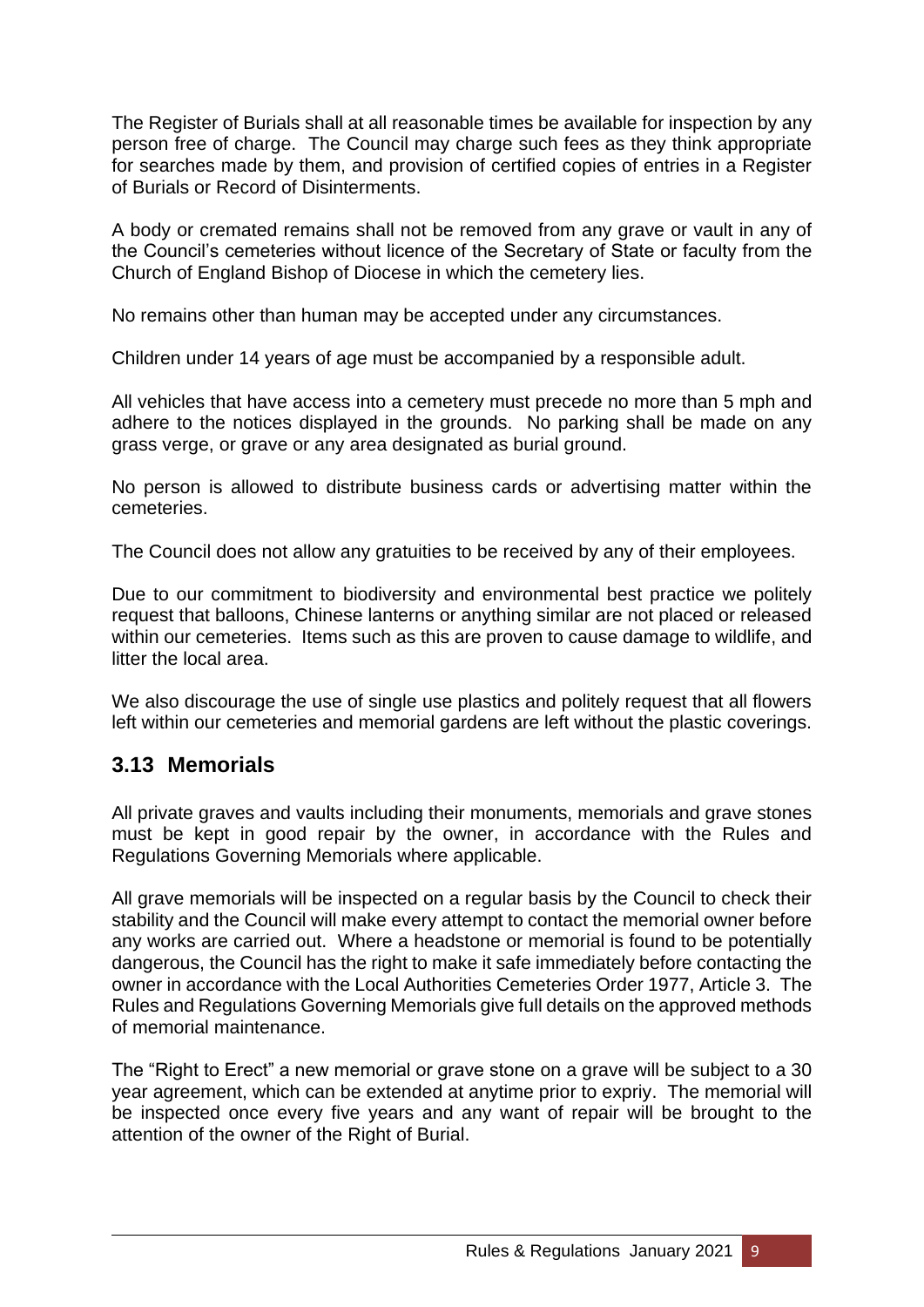The Register of Burials shall at all reasonable times be available for inspection by any person free of charge. The Council may charge such fees as they think appropriate for searches made by them, and provision of certified copies of entries in a Register of Burials or Record of Disinterments.

A body or cremated remains shall not be removed from any grave or vault in any of the Council's cemeteries without licence of the Secretary of State or faculty from the Church of England Bishop of Diocese in which the cemetery lies.

No remains other than human may be accepted under any circumstances.

Children under 14 years of age must be accompanied by a responsible adult.

All vehicles that have access into a cemetery must precede no more than 5 mph and adhere to the notices displayed in the grounds. No parking shall be made on any grass verge, or grave or any area designated as burial ground.

No person is allowed to distribute business cards or advertising matter within the cemeteries.

The Council does not allow any gratuities to be received by any of their employees.

Due to our commitment to biodiversity and environmental best practice we politely request that balloons, Chinese lanterns or anything similar are not placed or released within our cemeteries. Items such as this are proven to cause damage to wildlife, and litter the local area.

We also discourage the use of single use plastics and politely request that all flowers left within our cemeteries and memorial gardens are left without the plastic coverings.

#### <span id="page-8-0"></span>**3.13 Memorials**

All private graves and vaults including their monuments, memorials and grave stones must be kept in good repair by the owner, in accordance with the Rules and Regulations Governing Memorials where applicable.

All grave memorials will be inspected on a regular basis by the Council to check their stability and the Council will make every attempt to contact the memorial owner before any works are carried out. Where a headstone or memorial is found to be potentially dangerous, the Council has the right to make it safe immediately before contacting the owner in accordance with the Local Authorities Cemeteries Order 1977, Article 3. The Rules and Regulations Governing Memorials give full details on the approved methods of memorial maintenance.

The "Right to Erect" a new memorial or grave stone on a grave will be subject to a 30 year agreement, which can be extended at anytime prior to expriy. The memorial will be inspected once every five years and any want of repair will be brought to the attention of the owner of the Right of Burial.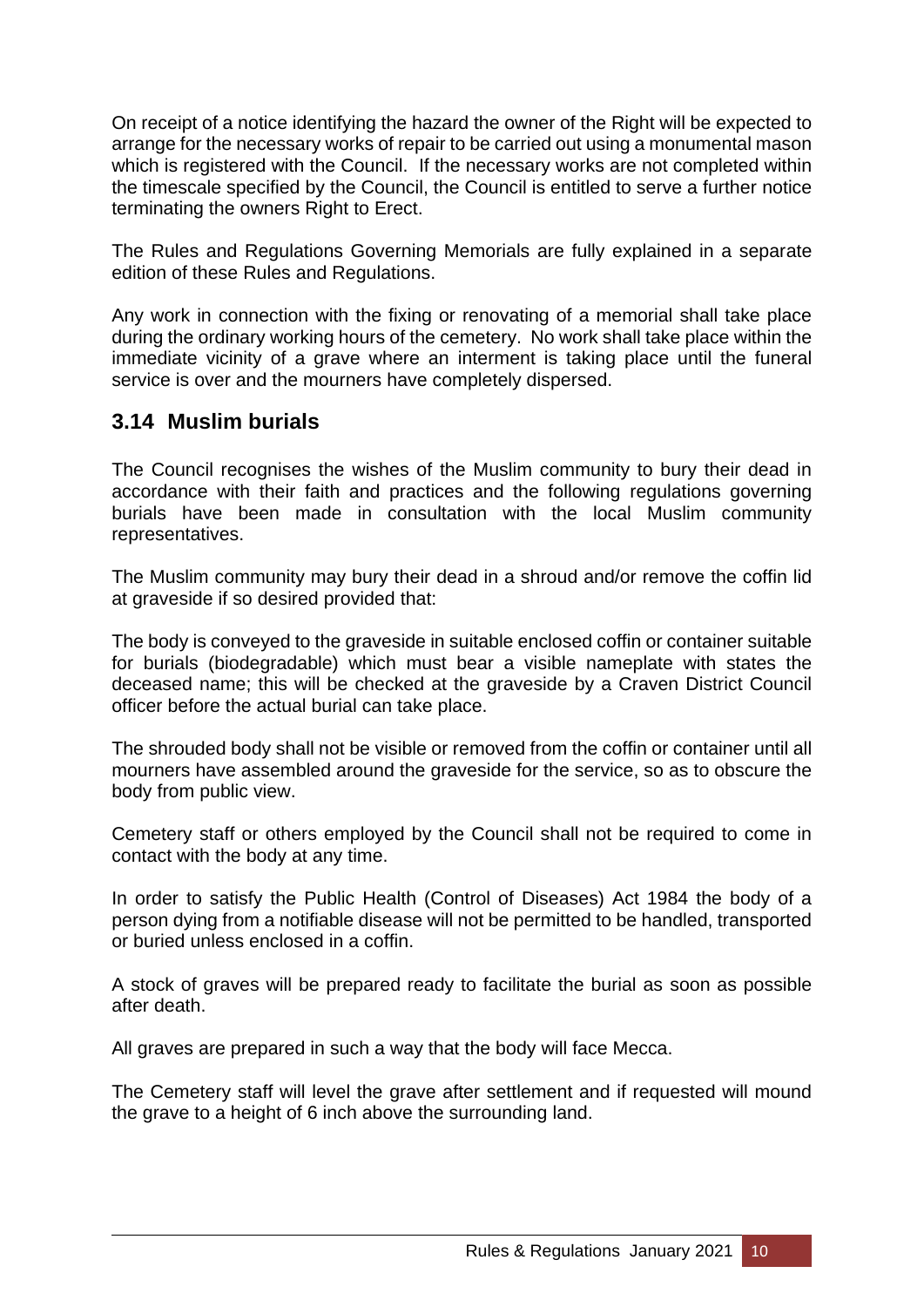On receipt of a notice identifying the hazard the owner of the Right will be expected to arrange for the necessary works of repair to be carried out using a monumental mason which is registered with the Council. If the necessary works are not completed within the timescale specified by the Council, the Council is entitled to serve a further notice terminating the owners Right to Erect.

The Rules and Regulations Governing Memorials are fully explained in a separate edition of these Rules and Regulations.

Any work in connection with the fixing or renovating of a memorial shall take place during the ordinary working hours of the cemetery. No work shall take place within the immediate vicinity of a grave where an interment is taking place until the funeral service is over and the mourners have completely dispersed.

#### <span id="page-9-0"></span>**3.14 Muslim burials**

The Council recognises the wishes of the Muslim community to bury their dead in accordance with their faith and practices and the following regulations governing burials have been made in consultation with the local Muslim community representatives.

The Muslim community may bury their dead in a shroud and/or remove the coffin lid at graveside if so desired provided that:

The body is conveyed to the graveside in suitable enclosed coffin or container suitable for burials (biodegradable) which must bear a visible nameplate with states the deceased name; this will be checked at the graveside by a Craven District Council officer before the actual burial can take place.

The shrouded body shall not be visible or removed from the coffin or container until all mourners have assembled around the graveside for the service, so as to obscure the body from public view.

Cemetery staff or others employed by the Council shall not be required to come in contact with the body at any time.

In order to satisfy the Public Health (Control of Diseases) Act 1984 the body of a person dying from a notifiable disease will not be permitted to be handled, transported or buried unless enclosed in a coffin.

A stock of graves will be prepared ready to facilitate the burial as soon as possible after death.

All graves are prepared in such a way that the body will face Mecca.

The Cemetery staff will level the grave after settlement and if requested will mound the grave to a height of 6 inch above the surrounding land.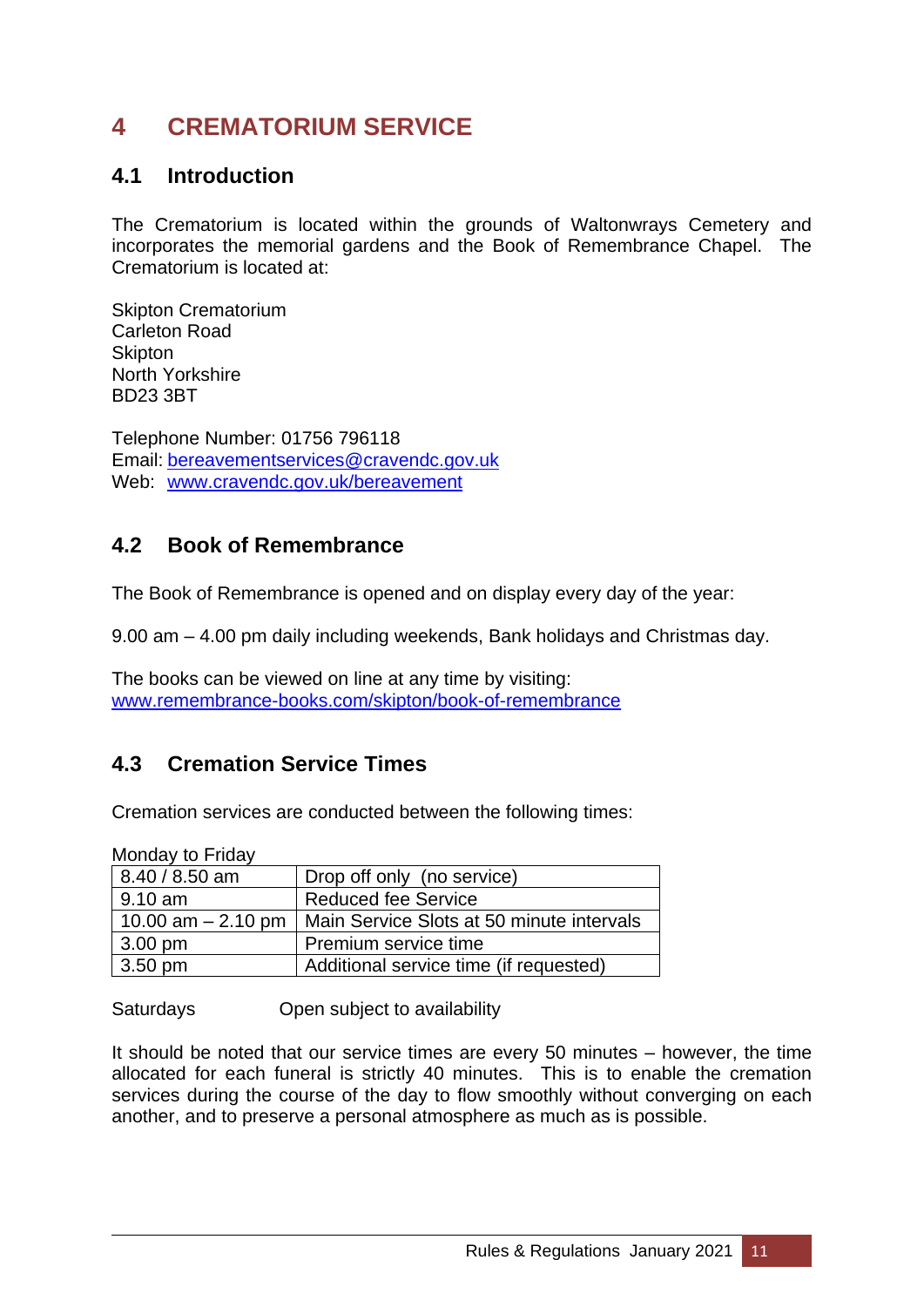# <span id="page-10-0"></span>**4 CREMATORIUM SERVICE**

#### <span id="page-10-1"></span>**4.1 Introduction**

The Crematorium is located within the grounds of Waltonwrays Cemetery and incorporates the memorial gardens and the Book of Remembrance Chapel. The Crematorium is located at:

Skipton Crematorium Carleton Road **Skipton** North Yorkshire BD23 3BT

Telephone Number: 01756 796118 Email: [bereavementservices@cravendc.gov.uk](mailto:bereavementservices@cravendc.gov.uk) Web: [www.cravendc.gov.uk/bereavement](http://www.cravendc.gov.uk/bereavement)

#### <span id="page-10-2"></span>**4.2 Book of Remembrance**

The Book of Remembrance is opened and on display every day of the year:

9.00 am – 4.00 pm daily including weekends, Bank holidays and Christmas day.

The books can be viewed on line at any time by visiting: [www.remembrance-books.com/skipton/book-of-remembrance](http://www.remembrance-books.com/skipton/book-of-remembrance)

#### <span id="page-10-3"></span>**4.3 Cremation Service Times**

Cremation services are conducted between the following times:

Monday to Friday 8.40 / 8.50 am Drop off only (no service) 9.10 am Reduced fee Service 10.00 am  $-$  2.10 pm | Main Service Slots at 50 minute intervals 3.00 pm Premium service time 3.50 pm Additional service time (if requested)

Saturdays Open subject to availability

It should be noted that our service times are every 50 minutes – however, the time allocated for each funeral is strictly 40 minutes. This is to enable the cremation services during the course of the day to flow smoothly without converging on each another, and to preserve a personal atmosphere as much as is possible.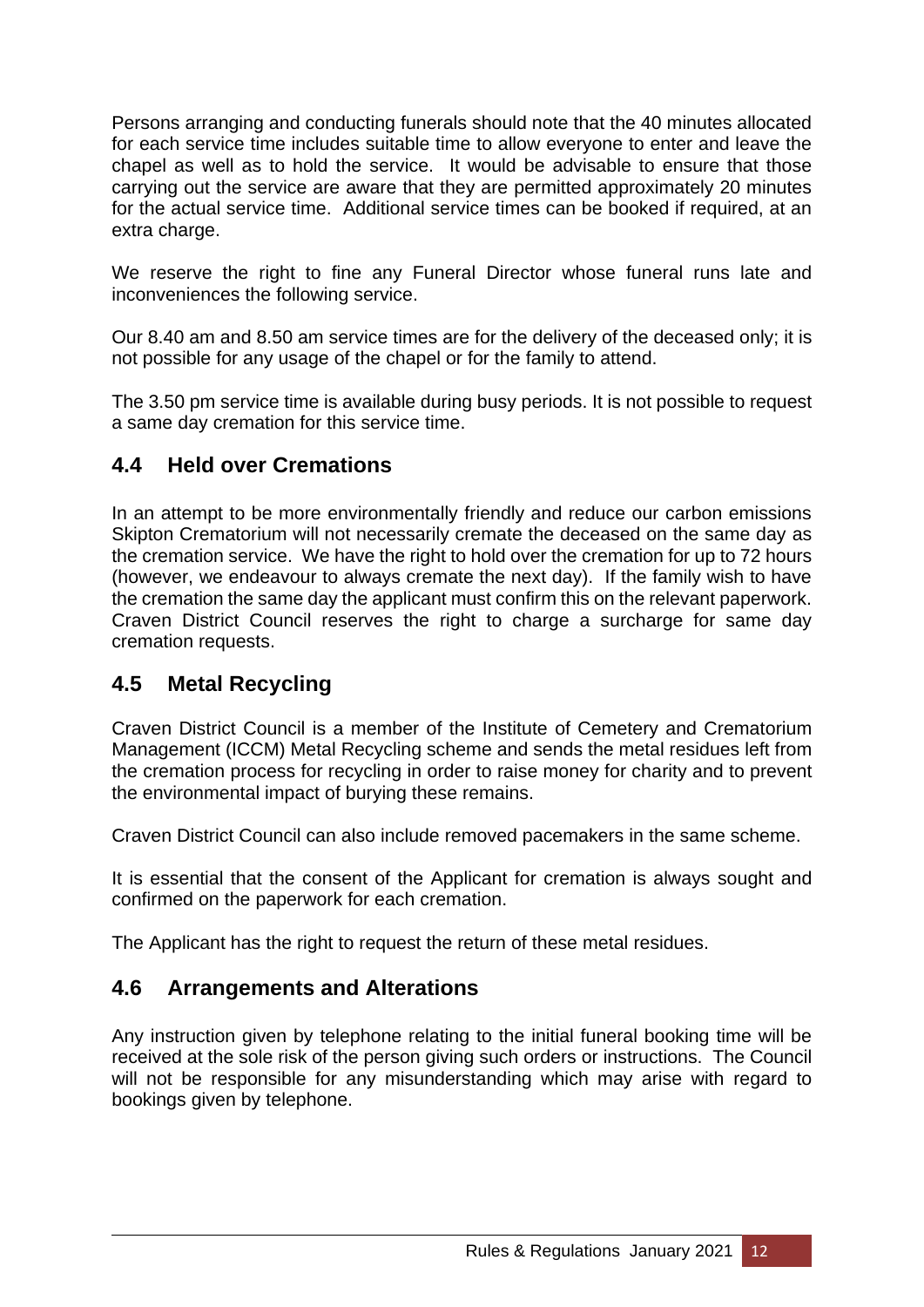Persons arranging and conducting funerals should note that the 40 minutes allocated for each service time includes suitable time to allow everyone to enter and leave the chapel as well as to hold the service. It would be advisable to ensure that those carrying out the service are aware that they are permitted approximately 20 minutes for the actual service time. Additional service times can be booked if required, at an extra charge.

We reserve the right to fine any Funeral Director whose funeral runs late and inconveniences the following service.

Our 8.40 am and 8.50 am service times are for the delivery of the deceased only; it is not possible for any usage of the chapel or for the family to attend.

The 3.50 pm service time is available during busy periods. It is not possible to request a same day cremation for this service time.

#### <span id="page-11-0"></span>**4.4 Held over Cremations**

In an attempt to be more environmentally friendly and reduce our carbon emissions Skipton Crematorium will not necessarily cremate the deceased on the same day as the cremation service. We have the right to hold over the cremation for up to 72 hours (however, we endeavour to always cremate the next day). If the family wish to have the cremation the same day the applicant must confirm this on the relevant paperwork. Craven District Council reserves the right to charge a surcharge for same day cremation requests.

#### <span id="page-11-1"></span>**4.5 Metal Recycling**

Craven District Council is a member of the Institute of Cemetery and Crematorium Management (ICCM) Metal Recycling scheme and sends the metal residues left from the cremation process for recycling in order to raise money for charity and to prevent the environmental impact of burying these remains.

Craven District Council can also include removed pacemakers in the same scheme.

It is essential that the consent of the Applicant for cremation is always sought and confirmed on the paperwork for each cremation.

The Applicant has the right to request the return of these metal residues.

#### <span id="page-11-2"></span>**4.6 Arrangements and Alterations**

Any instruction given by telephone relating to the initial funeral booking time will be received at the sole risk of the person giving such orders or instructions. The Council will not be responsible for any misunderstanding which may arise with regard to bookings given by telephone.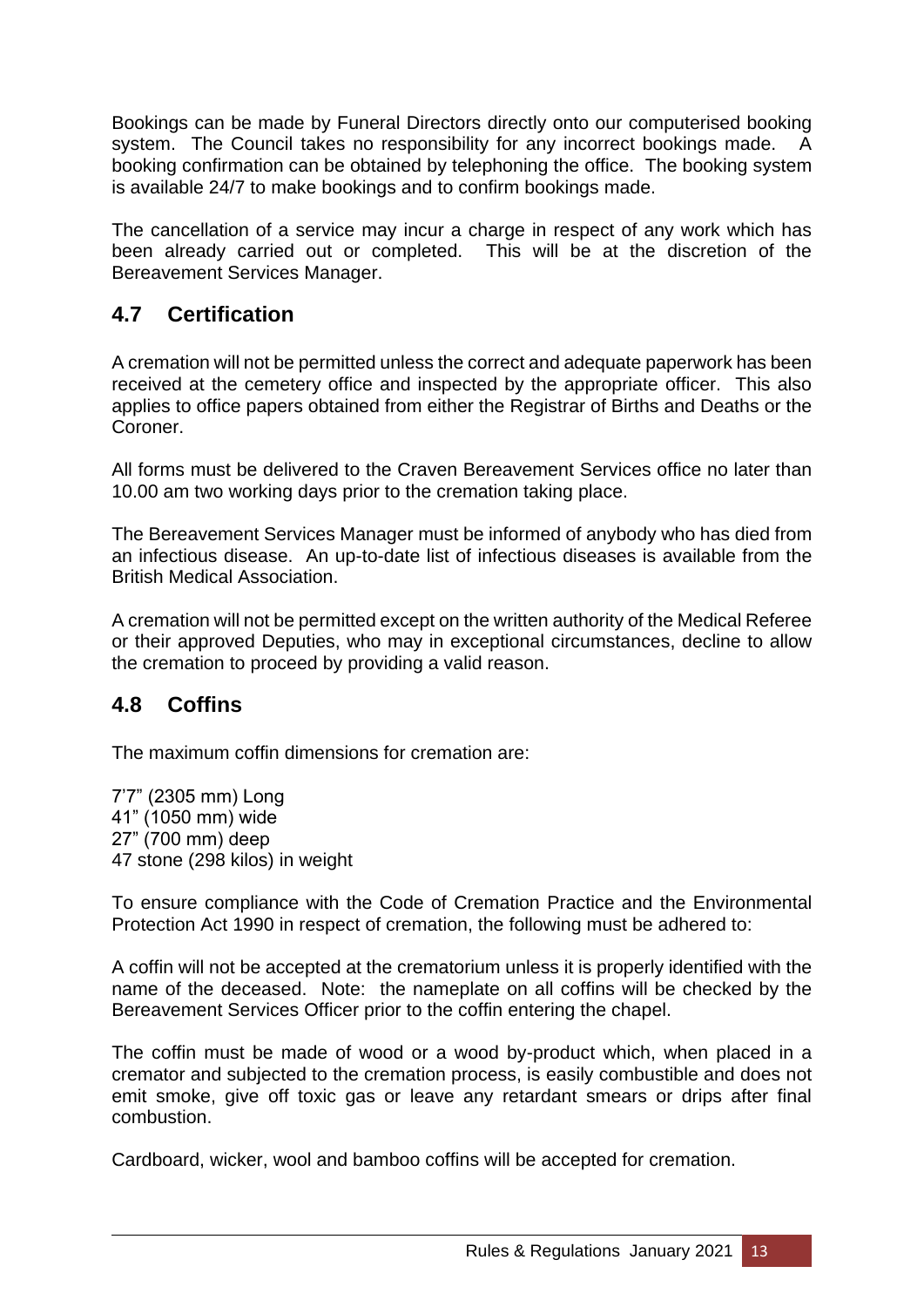Bookings can be made by Funeral Directors directly onto our computerised booking system. The Council takes no responsibility for any incorrect bookings made. booking confirmation can be obtained by telephoning the office. The booking system is available 24/7 to make bookings and to confirm bookings made.

The cancellation of a service may incur a charge in respect of any work which has been already carried out or completed. This will be at the discretion of the Bereavement Services Manager.

#### <span id="page-12-0"></span>**4.7 Certification**

A cremation will not be permitted unless the correct and adequate paperwork has been received at the cemetery office and inspected by the appropriate officer. This also applies to office papers obtained from either the Registrar of Births and Deaths or the Coroner.

All forms must be delivered to the Craven Bereavement Services office no later than 10.00 am two working days prior to the cremation taking place.

The Bereavement Services Manager must be informed of anybody who has died from an infectious disease. An up-to-date list of infectious diseases is available from the British Medical Association.

A cremation will not be permitted except on the written authority of the Medical Referee or their approved Deputies, who may in exceptional circumstances, decline to allow the cremation to proceed by providing a valid reason.

#### <span id="page-12-1"></span>**4.8 Coffins**

The maximum coffin dimensions for cremation are:

7'7" (2305 mm) Long 41" (1050 mm) wide 27" (700 mm) deep 47 stone (298 kilos) in weight

To ensure compliance with the Code of Cremation Practice and the Environmental Protection Act 1990 in respect of cremation, the following must be adhered to:

A coffin will not be accepted at the crematorium unless it is properly identified with the name of the deceased. Note: the nameplate on all coffins will be checked by the Bereavement Services Officer prior to the coffin entering the chapel.

The coffin must be made of wood or a wood by-product which, when placed in a cremator and subjected to the cremation process, is easily combustible and does not emit smoke, give off toxic gas or leave any retardant smears or drips after final combustion.

Cardboard, wicker, wool and bamboo coffins will be accepted for cremation.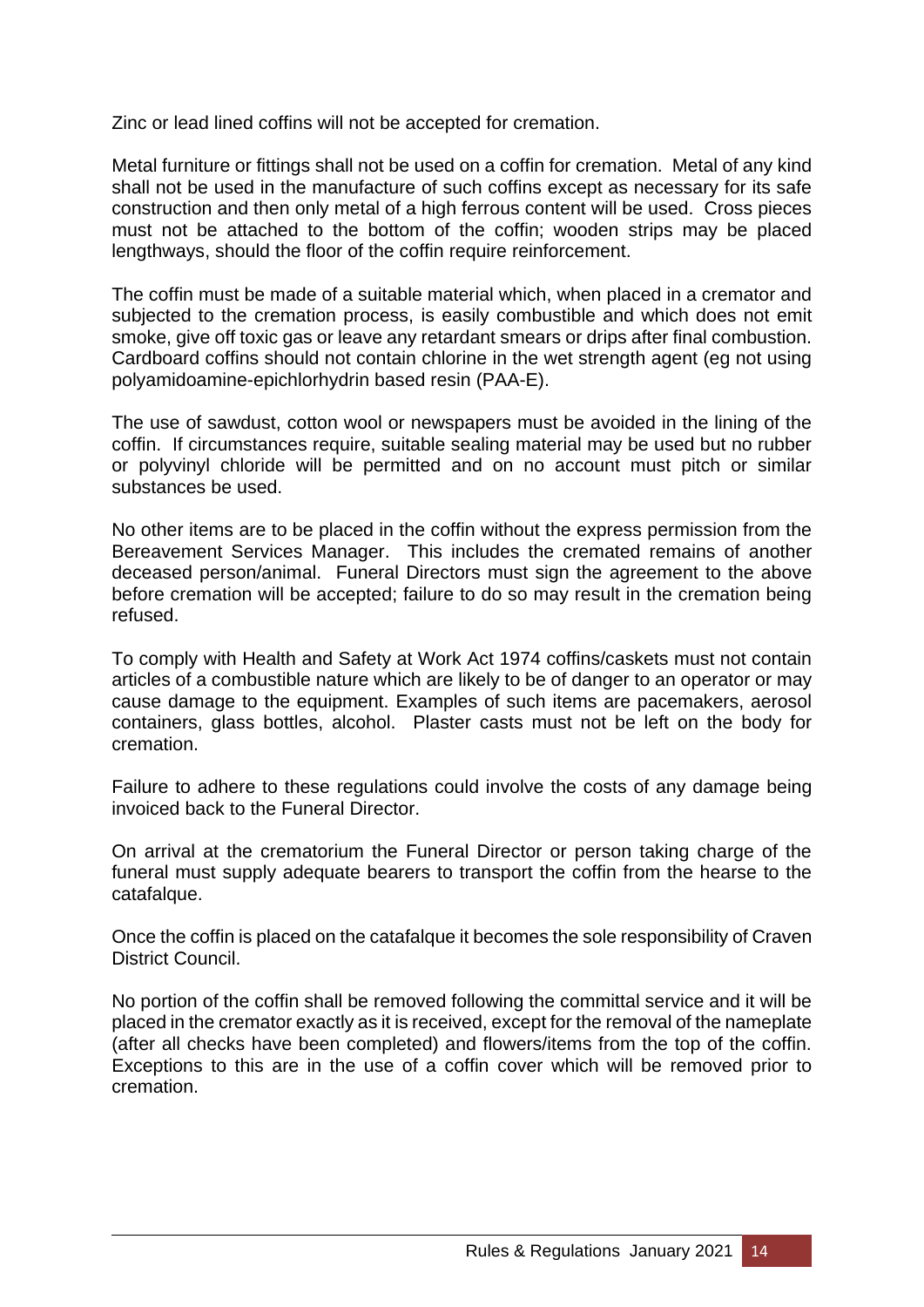Zinc or lead lined coffins will not be accepted for cremation.

Metal furniture or fittings shall not be used on a coffin for cremation. Metal of any kind shall not be used in the manufacture of such coffins except as necessary for its safe construction and then only metal of a high ferrous content will be used. Cross pieces must not be attached to the bottom of the coffin; wooden strips may be placed lengthways, should the floor of the coffin require reinforcement.

The coffin must be made of a suitable material which, when placed in a cremator and subjected to the cremation process, is easily combustible and which does not emit smoke, give off toxic gas or leave any retardant smears or drips after final combustion. Cardboard coffins should not contain chlorine in the wet strength agent (eg not using polyamidoamine-epichlorhydrin based resin (PAA-E).

The use of sawdust, cotton wool or newspapers must be avoided in the lining of the coffin. If circumstances require, suitable sealing material may be used but no rubber or polyvinyl chloride will be permitted and on no account must pitch or similar substances be used.

No other items are to be placed in the coffin without the express permission from the Bereavement Services Manager. This includes the cremated remains of another deceased person/animal. Funeral Directors must sign the agreement to the above before cremation will be accepted; failure to do so may result in the cremation being refused.

To comply with Health and Safety at Work Act 1974 coffins/caskets must not contain articles of a combustible nature which are likely to be of danger to an operator or may cause damage to the equipment. Examples of such items are pacemakers, aerosol containers, glass bottles, alcohol. Plaster casts must not be left on the body for cremation.

Failure to adhere to these regulations could involve the costs of any damage being invoiced back to the Funeral Director.

On arrival at the crematorium the Funeral Director or person taking charge of the funeral must supply adequate bearers to transport the coffin from the hearse to the catafalque.

Once the coffin is placed on the catafalque it becomes the sole responsibility of Craven District Council.

No portion of the coffin shall be removed following the committal service and it will be placed in the cremator exactly as it is received, except for the removal of the nameplate (after all checks have been completed) and flowers/items from the top of the coffin. Exceptions to this are in the use of a coffin cover which will be removed prior to cremation.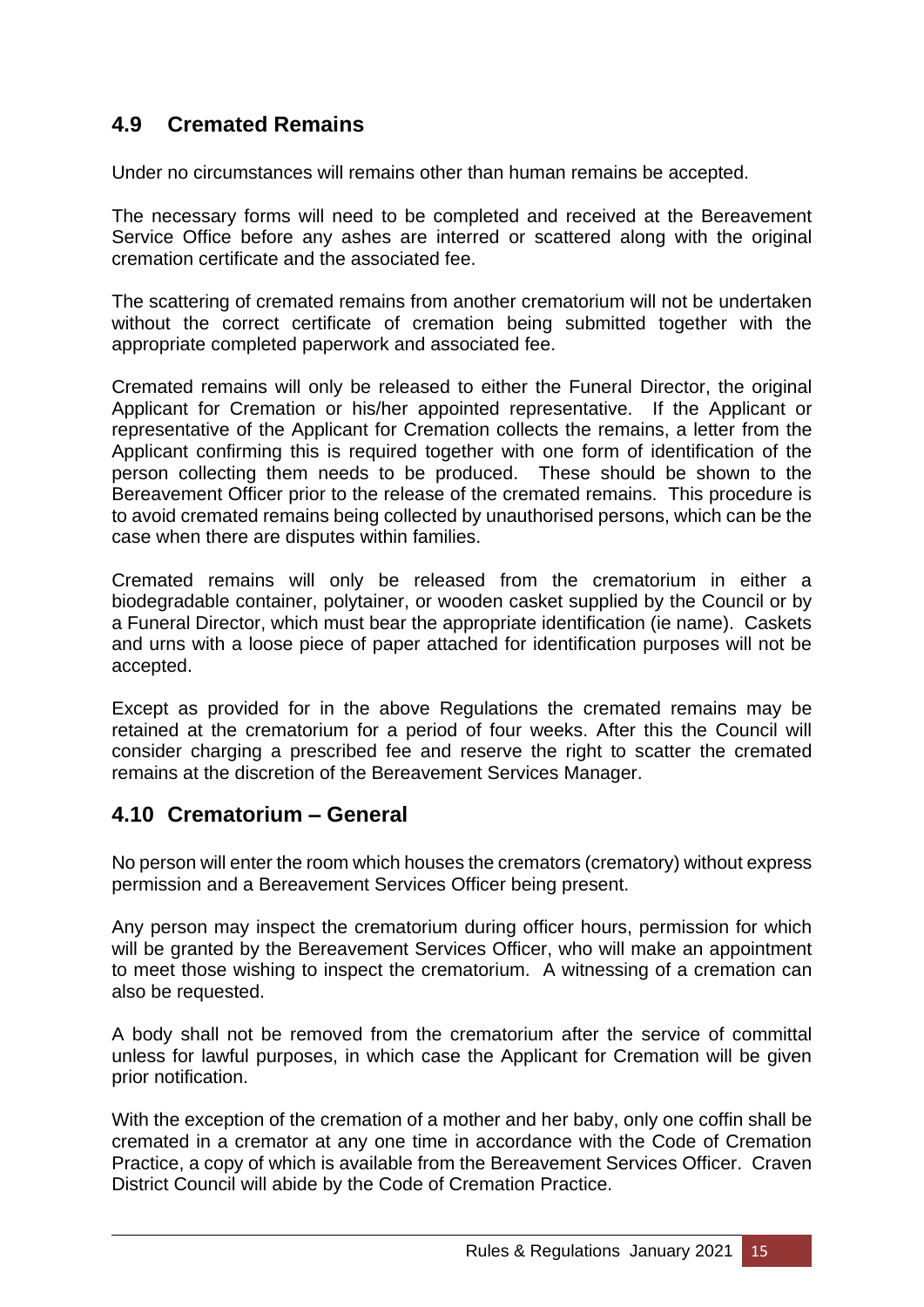#### <span id="page-14-0"></span>**4.9 Cremated Remains**

Under no circumstances will remains other than human remains be accepted.

The necessary forms will need to be completed and received at the Bereavement Service Office before any ashes are interred or scattered along with the original cremation certificate and the associated fee.

The scattering of cremated remains from another crematorium will not be undertaken without the correct certificate of cremation being submitted together with the appropriate completed paperwork and associated fee.

Cremated remains will only be released to either the Funeral Director, the original Applicant for Cremation or his/her appointed representative. If the Applicant or representative of the Applicant for Cremation collects the remains, a letter from the Applicant confirming this is required together with one form of identification of the person collecting them needs to be produced. These should be shown to the Bereavement Officer prior to the release of the cremated remains. This procedure is to avoid cremated remains being collected by unauthorised persons, which can be the case when there are disputes within families.

Cremated remains will only be released from the crematorium in either a biodegradable container, polytainer, or wooden casket supplied by the Council or by a Funeral Director, which must bear the appropriate identification (ie name). Caskets and urns with a loose piece of paper attached for identification purposes will not be accepted.

Except as provided for in the above Regulations the cremated remains may be retained at the crematorium for a period of four weeks. After this the Council will consider charging a prescribed fee and reserve the right to scatter the cremated remains at the discretion of the Bereavement Services Manager.

#### <span id="page-14-1"></span>**4.10 Crematorium – General**

No person will enter the room which houses the cremators (crematory) without express permission and a Bereavement Services Officer being present.

Any person may inspect the crematorium during officer hours, permission for which will be granted by the Bereavement Services Officer, who will make an appointment to meet those wishing to inspect the crematorium. A witnessing of a cremation can also be requested.

A body shall not be removed from the crematorium after the service of committal unless for lawful purposes, in which case the Applicant for Cremation will be given prior notification.

With the exception of the cremation of a mother and her baby, only one coffin shall be cremated in a cremator at any one time in accordance with the Code of Cremation Practice, a copy of which is available from the Bereavement Services Officer. Craven District Council will abide by the Code of Cremation Practice.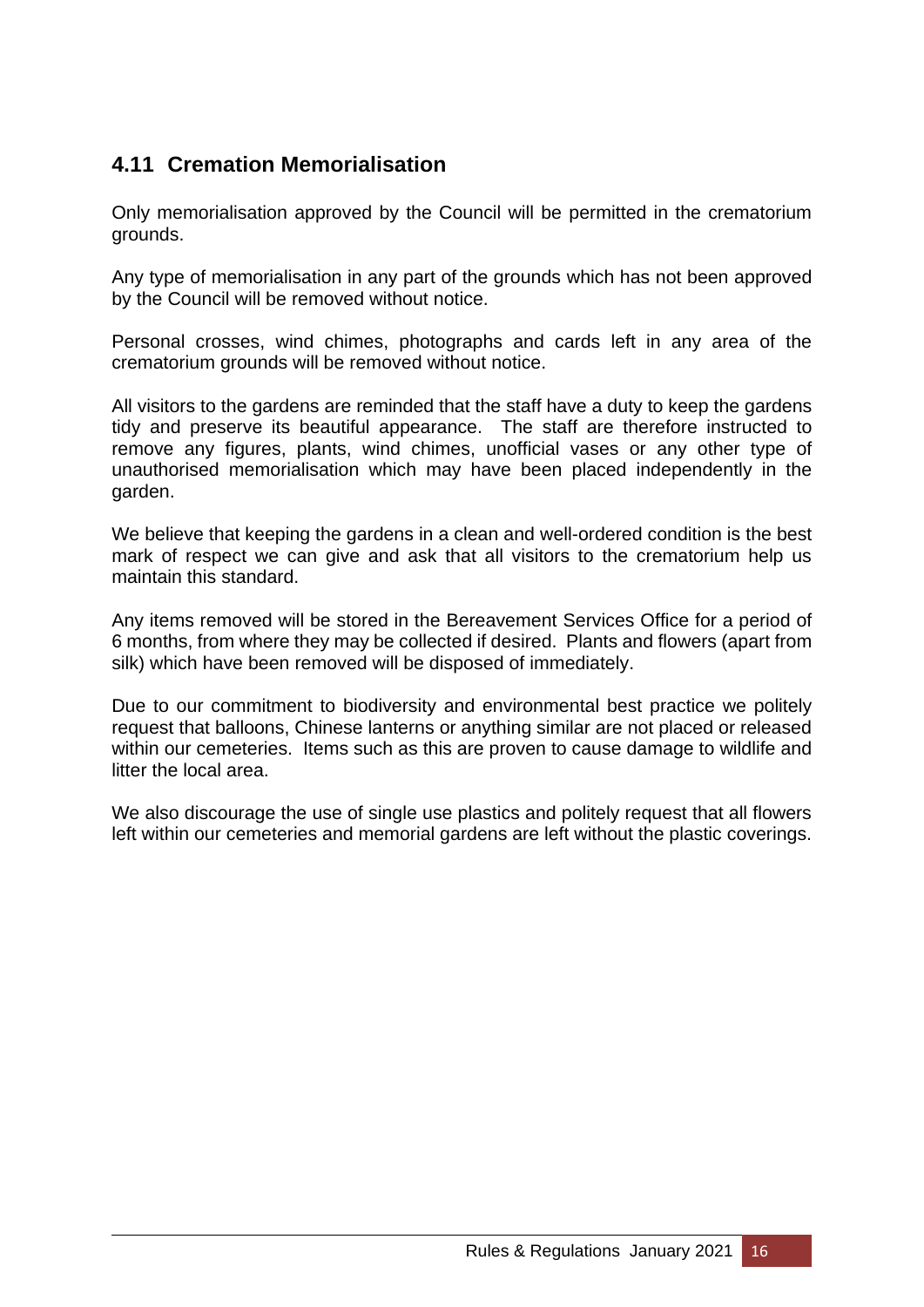#### <span id="page-15-0"></span>**4.11 Cremation Memorialisation**

Only memorialisation approved by the Council will be permitted in the crematorium grounds.

Any type of memorialisation in any part of the grounds which has not been approved by the Council will be removed without notice.

Personal crosses, wind chimes, photographs and cards left in any area of the crematorium grounds will be removed without notice.

All visitors to the gardens are reminded that the staff have a duty to keep the gardens tidy and preserve its beautiful appearance. The staff are therefore instructed to remove any figures, plants, wind chimes, unofficial vases or any other type of unauthorised memorialisation which may have been placed independently in the garden.

We believe that keeping the gardens in a clean and well-ordered condition is the best mark of respect we can give and ask that all visitors to the crematorium help us maintain this standard.

Any items removed will be stored in the Bereavement Services Office for a period of 6 months, from where they may be collected if desired. Plants and flowers (apart from silk) which have been removed will be disposed of immediately.

Due to our commitment to biodiversity and environmental best practice we politely request that balloons, Chinese lanterns or anything similar are not placed or released within our cemeteries. Items such as this are proven to cause damage to wildlife and litter the local area.

We also discourage the use of single use plastics and politely request that all flowers left within our cemeteries and memorial gardens are left without the plastic coverings.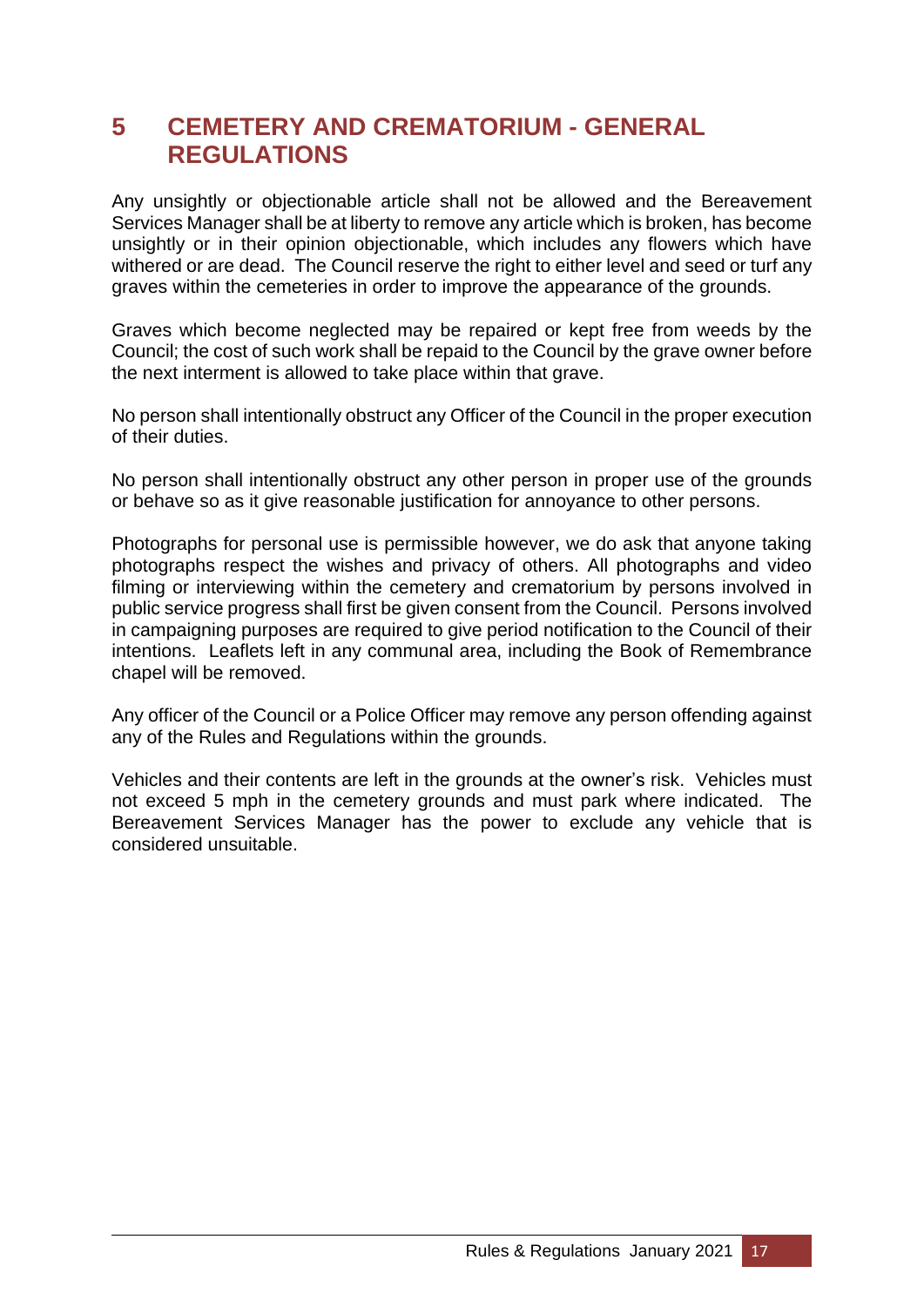# <span id="page-16-0"></span>**5 CEMETERY AND CREMATORIUM - GENERAL REGULATIONS**

Any unsightly or objectionable article shall not be allowed and the Bereavement Services Manager shall be at liberty to remove any article which is broken, has become unsightly or in their opinion objectionable, which includes any flowers which have withered or are dead. The Council reserve the right to either level and seed or turf any graves within the cemeteries in order to improve the appearance of the grounds.

Graves which become neglected may be repaired or kept free from weeds by the Council; the cost of such work shall be repaid to the Council by the grave owner before the next interment is allowed to take place within that grave.

No person shall intentionally obstruct any Officer of the Council in the proper execution of their duties.

No person shall intentionally obstruct any other person in proper use of the grounds or behave so as it give reasonable justification for annoyance to other persons.

Photographs for personal use is permissible however, we do ask that anyone taking photographs respect the wishes and privacy of others. All photographs and video filming or interviewing within the cemetery and crematorium by persons involved in public service progress shall first be given consent from the Council. Persons involved in campaigning purposes are required to give period notification to the Council of their intentions. Leaflets left in any communal area, including the Book of Remembrance chapel will be removed.

Any officer of the Council or a Police Officer may remove any person offending against any of the Rules and Regulations within the grounds.

Vehicles and their contents are left in the grounds at the owner's risk. Vehicles must not exceed 5 mph in the cemetery grounds and must park where indicated. The Bereavement Services Manager has the power to exclude any vehicle that is considered unsuitable.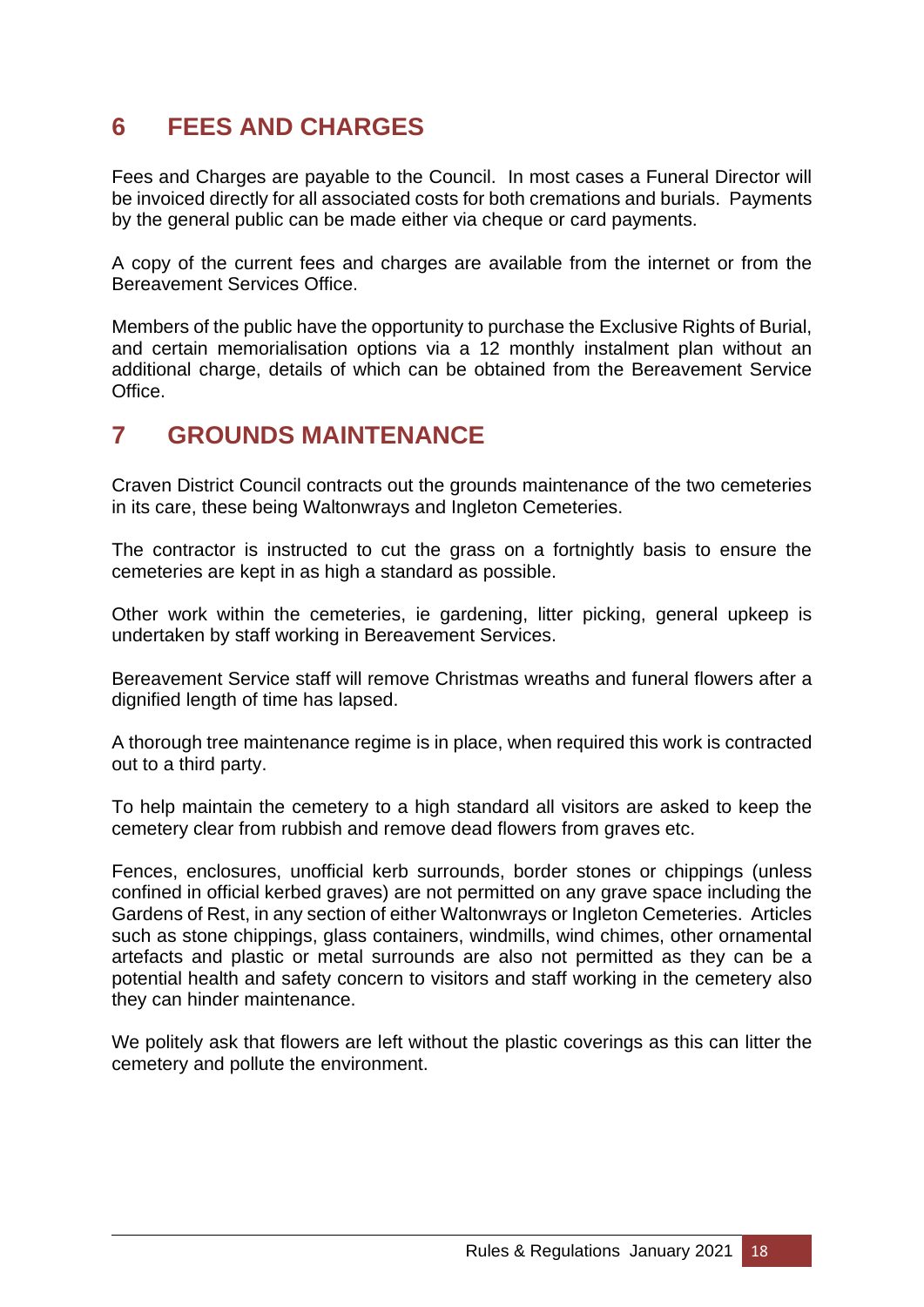# <span id="page-17-0"></span>**6 FEES AND CHARGES**

Fees and Charges are payable to the Council. In most cases a Funeral Director will be invoiced directly for all associated costs for both cremations and burials. Payments by the general public can be made either via cheque or card payments.

A copy of the current fees and charges are available from the internet or from the Bereavement Services Office.

Members of the public have the opportunity to purchase the Exclusive Rights of Burial, and certain memorialisation options via a 12 monthly instalment plan without an additional charge, details of which can be obtained from the Bereavement Service Office.

### <span id="page-17-1"></span>**7 GROUNDS MAINTENANCE**

Craven District Council contracts out the grounds maintenance of the two cemeteries in its care, these being Waltonwrays and Ingleton Cemeteries.

The contractor is instructed to cut the grass on a fortnightly basis to ensure the cemeteries are kept in as high a standard as possible.

Other work within the cemeteries, ie gardening, litter picking, general upkeep is undertaken by staff working in Bereavement Services.

Bereavement Service staff will remove Christmas wreaths and funeral flowers after a dignified length of time has lapsed.

A thorough tree maintenance regime is in place, when required this work is contracted out to a third party.

To help maintain the cemetery to a high standard all visitors are asked to keep the cemetery clear from rubbish and remove dead flowers from graves etc.

Fences, enclosures, unofficial kerb surrounds, border stones or chippings (unless confined in official kerbed graves) are not permitted on any grave space including the Gardens of Rest, in any section of either Waltonwrays or Ingleton Cemeteries. Articles such as stone chippings, glass containers, windmills, wind chimes, other ornamental artefacts and plastic or metal surrounds are also not permitted as they can be a potential health and safety concern to visitors and staff working in the cemetery also they can hinder maintenance.

We politely ask that flowers are left without the plastic coverings as this can litter the cemetery and pollute the environment.